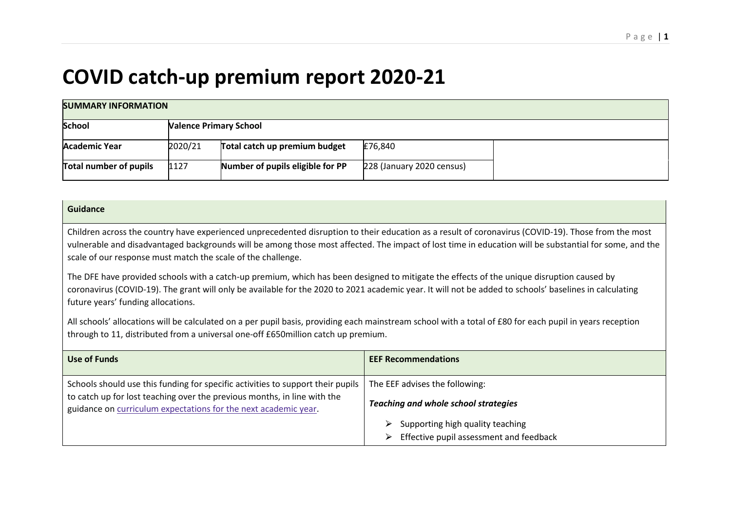## **COVID catch-up premium report 2020-21**

| <b>SUMMARY INFORMATION</b>    |         |                                  |                           |  |
|-------------------------------|---------|----------------------------------|---------------------------|--|
| <b>School</b>                 |         | <b>Valence Primary School</b>    |                           |  |
| <b>Academic Year</b>          | 2020/21 | Total catch up premium budget    | £76,840                   |  |
| <b>Total number of pupils</b> | 1127    | Number of pupils eligible for PP | 228 (January 2020 census) |  |

## **Guidance**

Children across the country have experienced unprecedented disruption to their education as a result of coronavirus (COVID-19). Those from the most vulnerable and disadvantaged backgrounds will be among those most affected. The impact of lost time in education will be substantial for some, and the scale of our response must match the scale of the challenge.

The DFE have provided schools with a catch-up premium, which has been designed to mitigate the effects of the unique disruption caused by coronavirus (COVID-19). The grant will only be available for the 2020 to 2021 academic year. It will not be added to schools' baselines in calculating future years' funding allocations.

All schools' allocations will be calculated on a per pupil basis, providing each mainstream school with a total of £80 for each pupil in years reception through to 11, distributed from a universal one-off £650million catch up premium.

| Use of Funds                                                                                                                                                                                                                   | <b>EEF Recommendations</b>                                                            |
|--------------------------------------------------------------------------------------------------------------------------------------------------------------------------------------------------------------------------------|---------------------------------------------------------------------------------------|
| Schools should use this funding for specific activities to support their pupils<br>to catch up for lost teaching over the previous months, in line with the<br>guidance on curriculum expectations for the next academic year. | The EEF advises the following:<br><b>Teaching and whole school strategies</b>         |
|                                                                                                                                                                                                                                | Supporting high quality teaching<br>⋗<br>Effective pupil assessment and feedback<br>⋗ |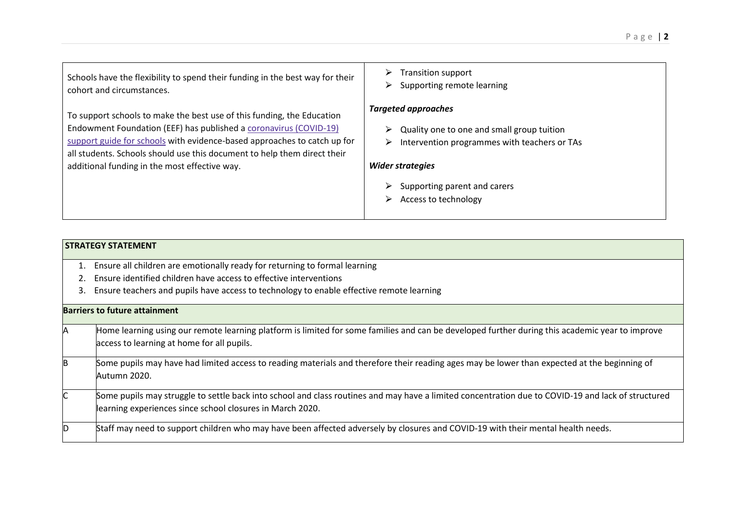| Schools have the flexibility to spend their funding in the best way for their<br>cohort and circumstances.                                                                                                                                                                                                                                           | Transition support<br>⋗<br>Supporting remote learning                                                                                                                                                                 |
|------------------------------------------------------------------------------------------------------------------------------------------------------------------------------------------------------------------------------------------------------------------------------------------------------------------------------------------------------|-----------------------------------------------------------------------------------------------------------------------------------------------------------------------------------------------------------------------|
| To support schools to make the best use of this funding, the Education<br>Endowment Foundation (EEF) has published a coronavirus (COVID-19)<br>support guide for schools with evidence-based approaches to catch up for<br>all students. Schools should use this document to help them direct their<br>additional funding in the most effective way. | <b>Targeted approaches</b><br>Quality one to one and small group tuition<br>Intervention programmes with teachers or TAs<br>⋗<br><b>Wider strategies</b><br>Supporting parent and carers<br>Access to technology<br>➤ |

|    | <b>STRATEGY STATEMENT</b>                                                                                                                                                                                       |
|----|-----------------------------------------------------------------------------------------------------------------------------------------------------------------------------------------------------------------|
| 1. | Ensure all children are emotionally ready for returning to formal learning                                                                                                                                      |
|    | Ensure identified children have access to effective interventions                                                                                                                                               |
| 3. | Ensure teachers and pupils have access to technology to enable effective remote learning                                                                                                                        |
|    | <b>Barriers to future attainment</b>                                                                                                                                                                            |
| Α  | Home learning using our remote learning platform is limited for some families and can be developed further during this academic year to improve<br>access to learning at home for all pupils.                   |
| B  | Some pupils may have had limited access to reading materials and therefore their reading ages may be lower than expected at the beginning of<br>Autumn 2020.                                                    |
|    | Some pupils may struggle to settle back into school and class routines and may have a limited concentration due to COVID-19 and lack of structured<br>learning experiences since school closures in March 2020. |
| ID | Staff may need to support children who may have been affected adversely by closures and COVID-19 with their mental health needs.                                                                                |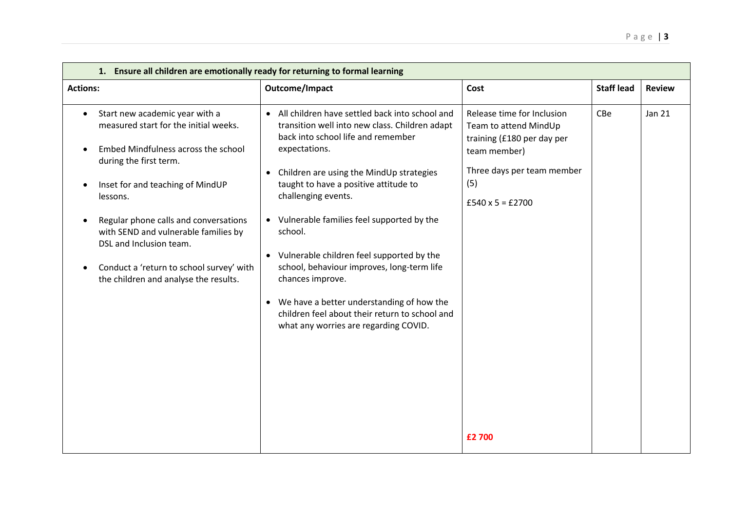| 1. Ensure all children are emotionally ready for returning to formal learning                                                                                                                                                                                                                                                                                                                          |                                                                                                                                                                                                                                                                                                                                                                                                                                                                                                                                                                                                         |                                                                                                                                                                   |                   |               |  |
|--------------------------------------------------------------------------------------------------------------------------------------------------------------------------------------------------------------------------------------------------------------------------------------------------------------------------------------------------------------------------------------------------------|---------------------------------------------------------------------------------------------------------------------------------------------------------------------------------------------------------------------------------------------------------------------------------------------------------------------------------------------------------------------------------------------------------------------------------------------------------------------------------------------------------------------------------------------------------------------------------------------------------|-------------------------------------------------------------------------------------------------------------------------------------------------------------------|-------------------|---------------|--|
| <b>Actions:</b>                                                                                                                                                                                                                                                                                                                                                                                        | Outcome/Impact                                                                                                                                                                                                                                                                                                                                                                                                                                                                                                                                                                                          | Cost                                                                                                                                                              | <b>Staff lead</b> | <b>Review</b> |  |
| Start new academic year with a<br>$\bullet$<br>measured start for the initial weeks.<br>Embed Mindfulness across the school<br>during the first term.<br>Inset for and teaching of MindUP<br>lessons.<br>Regular phone calls and conversations<br>with SEND and vulnerable families by<br>DSL and Inclusion team.<br>Conduct a 'return to school survey' with<br>the children and analyse the results. | • All children have settled back into school and<br>transition well into new class. Children adapt<br>back into school life and remember<br>expectations.<br>Children are using the MindUp strategies<br>$\bullet$<br>taught to have a positive attitude to<br>challenging events.<br>• Vulnerable families feel supported by the<br>school.<br>• Vulnerable children feel supported by the<br>school, behaviour improves, long-term life<br>chances improve.<br>• We have a better understanding of how the<br>children feel about their return to school and<br>what any worries are regarding COVID. | Release time for Inclusion<br>Team to attend MindUp<br>training (£180 per day per<br>team member)<br>Three days per team member<br>(5)<br>$£540 \times 5 = £2700$ | CBe               | <b>Jan 21</b> |  |
|                                                                                                                                                                                                                                                                                                                                                                                                        |                                                                                                                                                                                                                                                                                                                                                                                                                                                                                                                                                                                                         | £2 700                                                                                                                                                            |                   |               |  |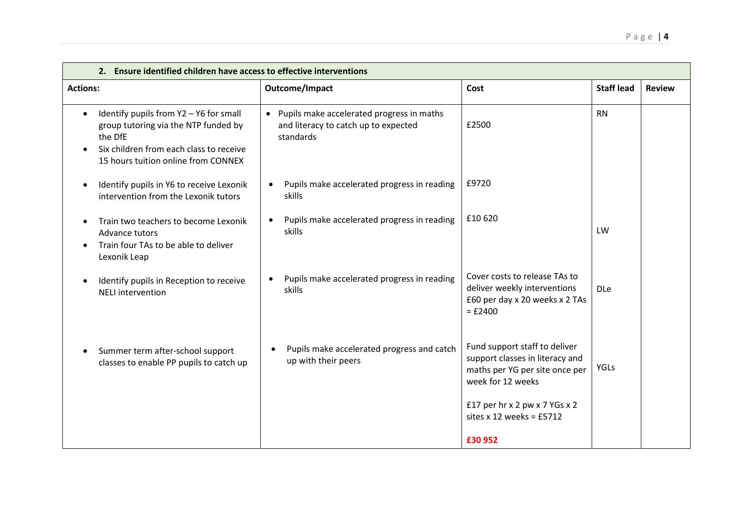| 2. Ensure identified children have access to effective interventions                                                                                                                     |                                                                                                             |                                                                                                                                                          |                   |               |
|------------------------------------------------------------------------------------------------------------------------------------------------------------------------------------------|-------------------------------------------------------------------------------------------------------------|----------------------------------------------------------------------------------------------------------------------------------------------------------|-------------------|---------------|
| <b>Actions:</b>                                                                                                                                                                          | Outcome/Impact                                                                                              | Cost                                                                                                                                                     | <b>Staff lead</b> | <b>Review</b> |
| Identify pupils from Y2 - Y6 for small<br>$\bullet$<br>group tutoring via the NTP funded by<br>the DfE<br>Six children from each class to receive<br>15 hours tuition online from CONNEX | Pupils make accelerated progress in maths<br>$\bullet$<br>and literacy to catch up to expected<br>standards | £2500                                                                                                                                                    | <b>RN</b>         |               |
| Identify pupils in Y6 to receive Lexonik<br>$\bullet$<br>intervention from the Lexonik tutors                                                                                            | Pupils make accelerated progress in reading<br>$\bullet$<br>skills                                          | £9720                                                                                                                                                    |                   |               |
| Train two teachers to become Lexonik<br>$\bullet$<br>Advance tutors<br>Train four TAs to be able to deliver<br>$\bullet$<br>Lexonik Leap                                                 | Pupils make accelerated progress in reading<br>$\bullet$<br>skills                                          | £10 620                                                                                                                                                  | LW                |               |
| Identify pupils in Reception to receive<br><b>NELI</b> intervention                                                                                                                      | Pupils make accelerated progress in reading<br>skills                                                       | Cover costs to release TAs to<br>deliver weekly interventions<br>£60 per day x 20 weeks x 2 TAs<br>$= £2400$                                             | <b>DLe</b>        |               |
| Summer term after-school support<br>classes to enable PP pupils to catch up                                                                                                              | Pupils make accelerated progress and catch<br>up with their peers                                           | Fund support staff to deliver<br>support classes in literacy and<br>maths per YG per site once per<br>week for 12 weeks<br>£17 per hr x 2 pw x 7 YGs x 2 | <b>YGLs</b>       |               |
|                                                                                                                                                                                          |                                                                                                             | sites $x$ 12 weeks = £5712<br>£30 952                                                                                                                    |                   |               |